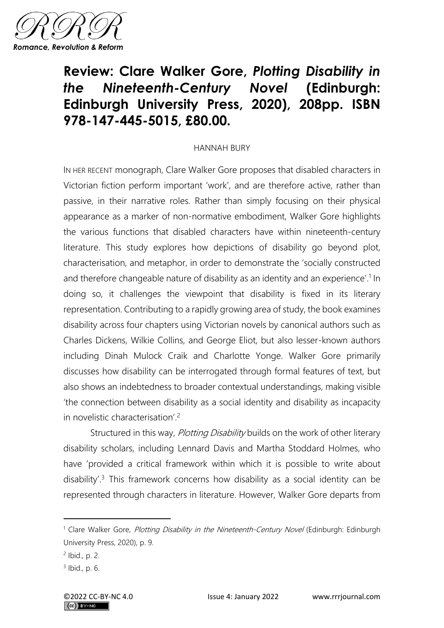

## **Review: Clare Walker Gore,** *Plotting Disability in the Nineteenth-Century Novel* **(Edinburgh: Edinburgh University Press, 2020), 208pp. ISBN 978-147-445-5015, £80.00.**

## HANNAH BURY

IN HER RECENT monograph, Clare Walker Gore proposes that disabled characters in Victorian fiction perform important 'work', and are therefore active, rather than passive, in their narrative roles. Rather than simply focusing on their physical appearance as a marker of non-normative embodiment, Walker Gore highlights the various functions that disabled characters have within nineteenth-century literature. This study explores how depictions of disability go beyond plot, characterisation, and metaphor, in order to demonstrate the 'socially constructed and therefore changeable nature of disability as an identity and an experience'.<sup>1</sup> In doing so, it challenges the viewpoint that disability is fixed in its literary representation. Contributing to a rapidly growing area of study, the book examines disability across four chapters using Victorian novels by canonical authors such as Charles Dickens, Wilkie Collins, and George Eliot, but also lesser-known authors including Dinah Mulock Craik and Charlotte Yonge. Walker Gore primarily discusses how disability can be interrogated through formal features of text, but also shows an indebtedness to broader contextual understandings, making visible 'the connection between disability as a social identity and disability as incapacity in novelistic characterisation'.<sup>2</sup>

Structured in this way, Plotting Disability builds on the work of other literary disability scholars, including Lennard Davis and Martha Stoddard Holmes, who have 'provided a critical framework within which it is possible to write about disability'.<sup>3</sup> This framework concerns how disability as a social identity can be represented through characters in literature. However, Walker Gore departs from

<sup>&</sup>lt;sup>1</sup> Clare Walker Gore, Plotting Disability in the Nineteenth-Century Novel (Edinburgh: Edinburgh University Press, 2020), p. 9.

<sup>2</sup> Ibid., p. 2.

<sup>3</sup> Ibid., p. 6.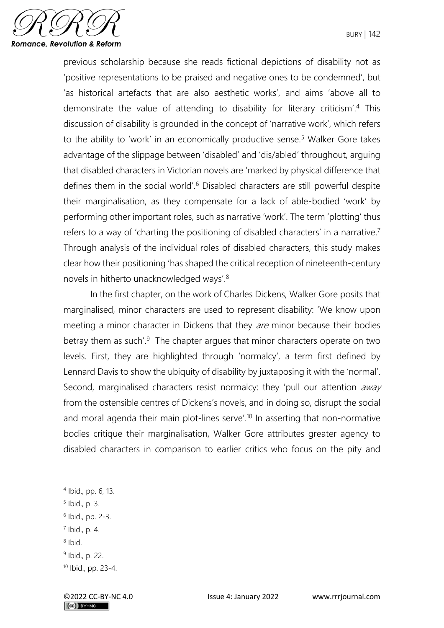

previous scholarship because she reads fictional depictions of disability not as 'positive representations to be praised and negative ones to be condemned', but 'as historical artefacts that are also aesthetic works', and aims 'above all to demonstrate the value of attending to disability for literary criticism'.<sup>4</sup> This discussion of disability is grounded in the concept of 'narrative work', which refers to the ability to 'work' in an economically productive sense.<sup>5</sup> Walker Gore takes advantage of the slippage between 'disabled' and 'dis/abled' throughout, arguing that disabled characters in Victorian novels are 'marked by physical difference that defines them in the social world'.<sup>6</sup> Disabled characters are still powerful despite their marginalisation, as they compensate for a lack of able-bodied 'work' by performing other important roles, such as narrative 'work'. The term 'plotting' thus refers to a way of 'charting the positioning of disabled characters' in a narrative.<sup>7</sup> Through analysis of the individual roles of disabled characters, this study makes clear how their positioning 'has shaped the critical reception of nineteenth-century novels in hitherto unacknowledged ways'.<sup>8</sup>

In the first chapter, on the work of Charles Dickens, Walker Gore posits that marginalised, minor characters are used to represent disability: 'We know upon meeting a minor character in Dickens that they *are* minor because their bodies betray them as such'.<sup>9</sup> The chapter argues that minor characters operate on two levels. First, they are highlighted through 'normalcy', a term first defined by Lennard Davis to show the ubiquity of disability by juxtaposing it with the 'normal'. Second, marginalised characters resist normalcy: they 'pull our attention away from the ostensible centres of Dickens's novels, and in doing so, disrupt the social and moral agenda their main plot-lines serve'.<sup>10</sup> In asserting that non-normative bodies critique their marginalisation, Walker Gore attributes greater agency to disabled characters in comparison to earlier critics who focus on the pity and

8 Ibid.

<sup>4</sup> Ibid., pp. 6, 13.

<sup>5</sup> Ibid., p. 3.

<sup>6</sup> Ibid., pp. 2-3.

<sup>7</sup> Ibid., p. 4.

<sup>&</sup>lt;sup>9</sup> Ibid., p. 22.

<sup>10</sup> Ibid., pp. 23-4.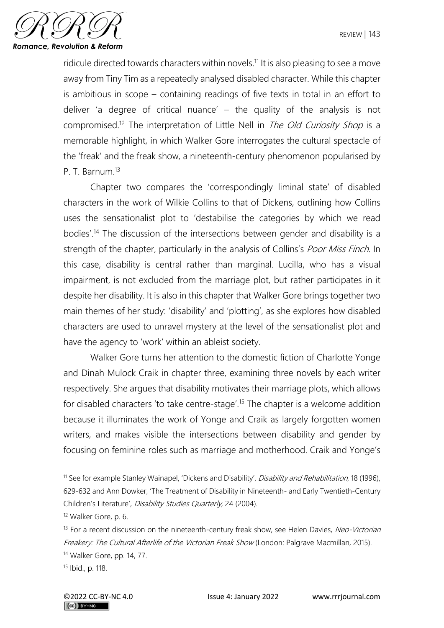

ridicule directed towards characters within novels.<sup>11</sup> It is also pleasing to see a move away from Tiny Tim as a repeatedly analysed disabled character. While this chapter is ambitious in scope – containing readings of five texts in total in an effort to deliver 'a degree of critical nuance' – the quality of the analysis is not compromised.<sup>12</sup> The interpretation of Little Nell in *The Old Curiosity Shop* is a memorable highlight, in which Walker Gore interrogates the cultural spectacle of the 'freak' and the freak show, a nineteenth-century phenomenon popularised by P. T. Barnum<sup>13</sup>

Chapter two compares the 'correspondingly liminal state' of disabled characters in the work of Wilkie Collins to that of Dickens, outlining how Collins uses the sensationalist plot to 'destabilise the categories by which we read bodies'.<sup>14</sup> The discussion of the intersections between gender and disability is a strength of the chapter, particularly in the analysis of Collins's Poor Miss Finch. In this case, disability is central rather than marginal. Lucilla, who has a visual impairment, is not excluded from the marriage plot, but rather participates in it despite her disability. It is also in this chapter that Walker Gore brings together two main themes of her study: 'disability' and 'plotting', as she explores how disabled characters are used to unravel mystery at the level of the sensationalist plot and have the agency to 'work' within an ableist society.

Walker Gore turns her attention to the domestic fiction of Charlotte Yonge and Dinah Mulock Craik in chapter three, examining three novels by each writer respectively. She argues that disability motivates their marriage plots, which allows for disabled characters 'to take centre-stage'.<sup>15</sup> The chapter is a welcome addition because it illuminates the work of Yonge and Craik as largely forgotten women writers, and makes visible the intersections between disability and gender by focusing on feminine roles such as marriage and motherhood. Craik and Yonge's

<sup>&</sup>lt;sup>11</sup> See for example Stanley Wainapel, 'Dickens and Disability', *Disability and Rehabilitation*, 18 (1996), 629-632 and Ann Dowker, 'The Treatment of Disability in Nineteenth- and Early Twentieth-Century Children's Literature', Disability Studies Quarterly, 24 (2004).

<sup>12</sup> Walker Gore, p. 6.

<sup>&</sup>lt;sup>13</sup> For a recent discussion on the nineteenth-century freak show, see Helen Davies, Neo-Victorian Freakery: The Cultural Afterlife of the Victorian Freak Show (London: Palgrave Macmillan, 2015). <sup>14</sup> Walker Gore, pp. 14, 77.

<sup>15</sup> Ibid., p. 118.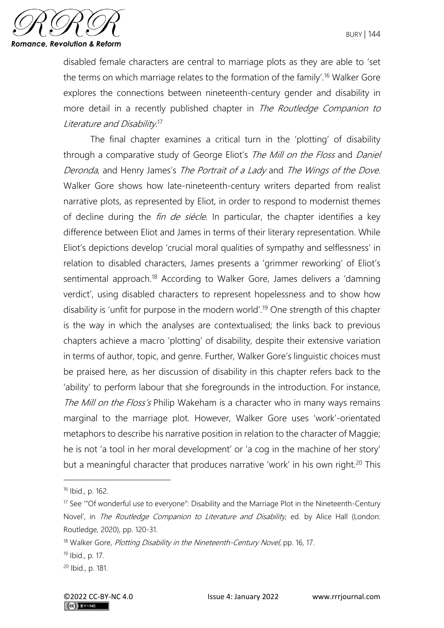

disabled female characters are central to marriage plots as they are able to 'set the terms on which marriage relates to the formation of the family'.<sup>16</sup> Walker Gore explores the connections between nineteenth-century gender and disability in more detail in a recently published chapter in The Routledge Companion to Literature and Disability.<sup>17</sup>

The final chapter examines a critical turn in the 'plotting' of disability through a comparative study of George Eliot's The Mill on the Floss and Daniel Deronda, and Henry James's The Portrait of <sup>a</sup> Lady and The Wings of the Dove. Walker Gore shows how late-nineteenth-century writers departed from realist narrative plots, as represented by Eliot, in order to respond to modernist themes of decline during the *fin de siècle*. In particular, the chapter identifies a key difference between Eliot and James in terms of their literary representation. While Eliot's depictions develop 'crucial moral qualities of sympathy and selflessness' in relation to disabled characters, James presents a 'grimmer reworking' of Eliot's sentimental approach.<sup>18</sup> According to Walker Gore, James delivers a 'damning verdict', using disabled characters to represent hopelessness and to show how disability is 'unfit for purpose in the modern world'.<sup>19</sup> One strength of this chapter is the way in which the analyses are contextualised; the links back to previous chapters achieve a macro 'plotting' of disability, despite their extensive variation in terms of author, topic, and genre. Further, Walker Gore's linguistic choices must be praised here, as her discussion of disability in this chapter refers back to the 'ability' to perform labour that she foregrounds in the introduction. For instance, The Mill on the Floss's Philip Wakeham is a character who in many ways remains marginal to the marriage plot. However, Walker Gore uses 'work'-orientated metaphors to describe his narrative position in relation to the character of Maggie; he is not 'a tool in her moral development' or 'a cog in the machine of her story' but a meaningful character that produces narrative 'work' in his own right.<sup>20</sup> This

<sup>16</sup> Ibid., p. 162.

 $17$  See "Of wonderful use to everyone": Disability and the Marriage Plot in the Nineteenth-Century Novel', in The Routledge Companion to Literature and Disability, ed. by Alice Hall (London: Routledge, 2020), pp. 120-31.

<sup>&</sup>lt;sup>18</sup> Walker Gore, Plotting Disability in the Nineteenth-Century Novel, pp. 16, 17.

<sup>19</sup> Ibid., p. 17.

<sup>20</sup> Ibid., p. 181.